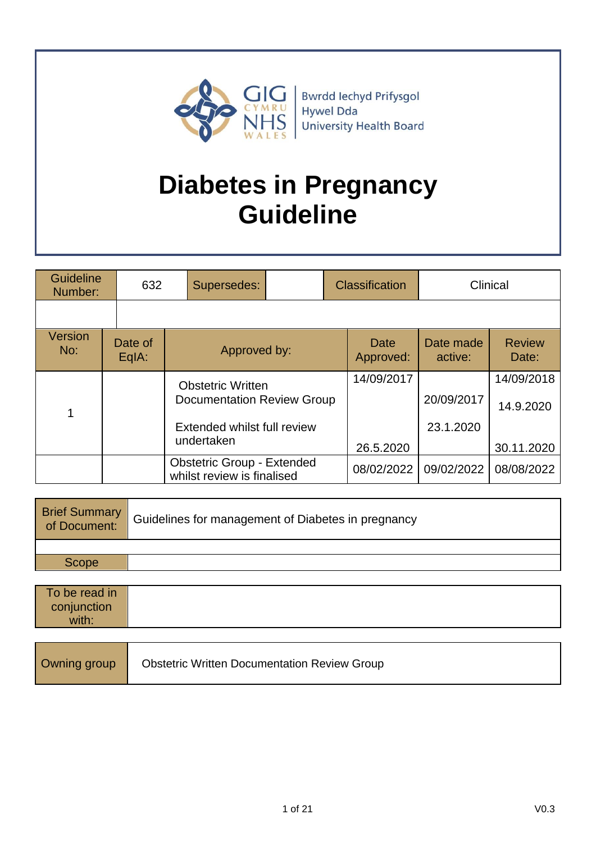

Bwrdd Iechyd Prifysgol Hywel Dda University Health Board

# **Diabetes in Pregnancy Guideline**

| <b>Guideline</b><br>632<br>Number:                                                                  |  | Supersedes:        |                                                                 |           | <b>Classification</b> | Clinical             |                         |  |
|-----------------------------------------------------------------------------------------------------|--|--------------------|-----------------------------------------------------------------|-----------|-----------------------|----------------------|-------------------------|--|
|                                                                                                     |  |                    |                                                                 |           |                       |                      |                         |  |
| Version<br>No:                                                                                      |  | Date of<br>$EqA$ : | Approved by:                                                    |           | Date<br>Approved:     | Date made<br>active: | <b>Review</b><br>Date:  |  |
| <b>Obstetric Written</b><br>Documentation Review Group<br>Extended whilst full review<br>undertaken |  |                    |                                                                 |           | 14/09/2017            | 20/09/2017           | 14/09/2018<br>14.9.2020 |  |
|                                                                                                     |  |                    | 26.5.2020                                                       | 23.1.2020 | 30.11.2020            |                      |                         |  |
|                                                                                                     |  |                    | <b>Obstetric Group - Extended</b><br>whilst review is finalised |           | 08/02/2022            | 09/02/2022           | 08/08/2022              |  |

| <b>Brief Summary</b><br>of Document: | Guidelines for management of Diabetes in pregnancy |
|--------------------------------------|----------------------------------------------------|
|                                      |                                                    |
| <b>Scope</b>                         |                                                    |
|                                      |                                                    |
| To be read in                        |                                                    |
| conjunction                          |                                                    |
| with:                                |                                                    |
|                                      |                                                    |

| Owning group |
|--------------|
|--------------|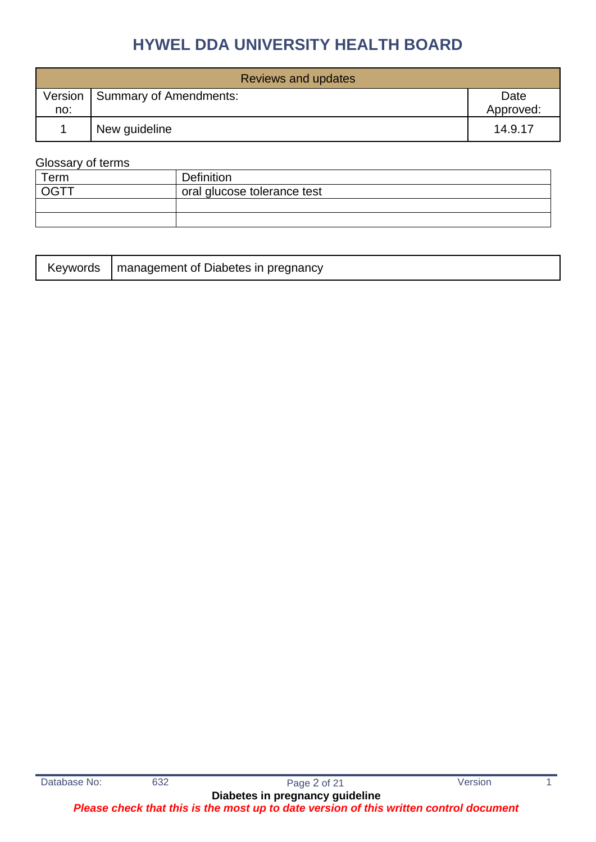|     | Reviews and updates              |                   |  |  |  |
|-----|----------------------------------|-------------------|--|--|--|
| no: | Version   Summary of Amendments: | Date<br>Approved: |  |  |  |
|     | New guideline                    | 14.9.17           |  |  |  |

### Glossary of terms

| $\tau$ erm | <b>Definition</b>           |
|------------|-----------------------------|
|            | oral glucose tolerance test |
|            |                             |
|            |                             |

|  | Keywords   management of Diabetes in pregnancy |
|--|------------------------------------------------|
|--|------------------------------------------------|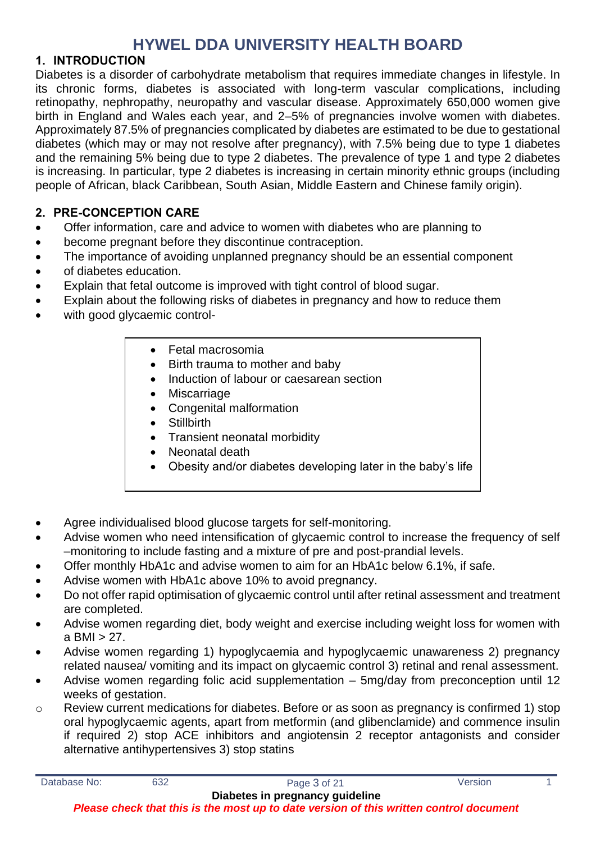### **1. INTRODUCTION**

Diabetes is a disorder of carbohydrate metabolism that requires immediate changes in lifestyle. In its chronic forms, diabetes is associated with long-term vascular complications, including retinopathy, nephropathy, neuropathy and vascular disease. Approximately 650,000 women give birth in England and Wales each year, and 2–5% of pregnancies involve women with diabetes. Approximately 87.5% of pregnancies complicated by diabetes are estimated to be due to gestational diabetes (which may or may not resolve after pregnancy), with 7.5% being due to type 1 diabetes and the remaining 5% being due to type 2 diabetes. The prevalence of type 1 and type 2 diabetes is increasing. In particular, type 2 diabetes is increasing in certain minority ethnic groups (including people of African, black Caribbean, South Asian, Middle Eastern and Chinese family origin).

### **2. PRE-CONCEPTION CARE**

- Offer information, care and advice to women with diabetes who are planning to
- become pregnant before they discontinue contraception.
- The importance of avoiding unplanned pregnancy should be an essential component
- of diabetes education.
- Explain that fetal outcome is improved with tight control of blood sugar.
- Explain about the following risks of diabetes in pregnancy and how to reduce them
- with good glycaemic control-
	- Fetal macrosomia
	- Birth trauma to mother and baby
	- Induction of labour or caesarean section
	- Miscarriage
	- Congenital malformation
	- Stillbirth
	- Transient neonatal morbidity
	- Neonatal death
	- Obesity and/or diabetes developing later in the baby's life
- Agree individualised blood glucose targets for self-monitoring.
- Advise women who need intensification of glycaemic control to increase the frequency of self –monitoring to include fasting and a mixture of pre and post-prandial levels.
- Offer monthly HbA1c and advise women to aim for an HbA1c below 6.1%, if safe.
- Advise women with HbA1c above 10% to avoid pregnancy.
- Do not offer rapid optimisation of glycaemic control until after retinal assessment and treatment are completed.
- Advise women regarding diet, body weight and exercise including weight loss for women with a BMI  $>$  27.
- Advise women regarding 1) hypoglycaemia and hypoglycaemic unawareness 2) pregnancy related nausea/ vomiting and its impact on glycaemic control 3) retinal and renal assessment.
- Advise women regarding folic acid supplementation 5mg/day from preconception until 12 weeks of gestation.
- o Review current medications for diabetes. Before or as soon as pregnancy is confirmed 1) stop oral hypoglycaemic agents, apart from metformin (and glibenclamide) and commence insulin if required 2) stop ACE inhibitors and angiotensin 2 receptor antagonists and consider alternative antihypertensives 3) stop statins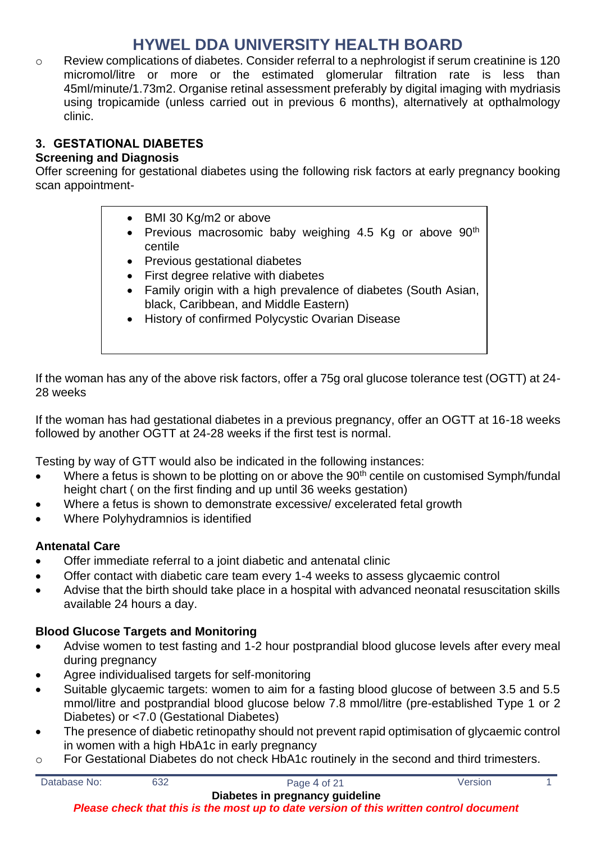o Review complications of diabetes. Consider referral to a nephrologist if serum creatinine is 120 micromol/litre or more or the estimated glomerular filtration rate is less than 45ml/minute/1.73m2. Organise retinal assessment preferably by digital imaging with mydriasis using tropicamide (unless carried out in previous 6 months), alternatively at opthalmology clinic.

### **3. GESTATIONAL DIABETES**

### **Screening and Diagnosis**

Offer screening for gestational diabetes using the following risk factors at early pregnancy booking scan appointment-

- BMI 30 Kg/m2 or above
- Previous macrosomic baby weighing 4.5 Kg or above  $90<sup>th</sup>$ centile
- Previous gestational diabetes
- First degree relative with diabetes
- Family origin with a high prevalence of diabetes (South Asian, black, Caribbean, and Middle Eastern)
- History of confirmed Polycystic Ovarian Disease

If the woman has any of the above risk factors, offer a 75g oral glucose tolerance test (OGTT) at 24- 28 weeks

If the woman has had gestational diabetes in a previous pregnancy, offer an OGTT at 16-18 weeks followed by another OGTT at 24-28 weeks if the first test is normal.

Testing by way of GTT would also be indicated in the following instances:

- Where a fetus is shown to be plotting on or above the  $90<sup>th</sup>$  centile on customised Symph/fundal height chart ( on the first finding and up until 36 weeks gestation)
- Where a fetus is shown to demonstrate excessive/ excelerated fetal growth
- Where Polyhydramnios is identified

### **Antenatal Care**

- Offer immediate referral to a joint diabetic and antenatal clinic
- Offer contact with diabetic care team every 1-4 weeks to assess glycaemic control
- Advise that the birth should take place in a hospital with advanced neonatal resuscitation skills available 24 hours a day.

### **Blood Glucose Targets and Monitoring**

- Advise women to test fasting and 1-2 hour postprandial blood glucose levels after every meal during pregnancy
- Agree individualised targets for self-monitoring
- Suitable glycaemic targets: women to aim for a fasting blood glucose of between 3.5 and 5.5 mmol/litre and postprandial blood glucose below 7.8 mmol/litre (pre-established Type 1 or 2 Diabetes) or <7.0 (Gestational Diabetes)
- The presence of diabetic retinopathy should not prevent rapid optimisation of glycaemic control in women with a high HbA1c in early pregnancy
- o For Gestational Diabetes do not check HbA1c routinely in the second and third trimesters.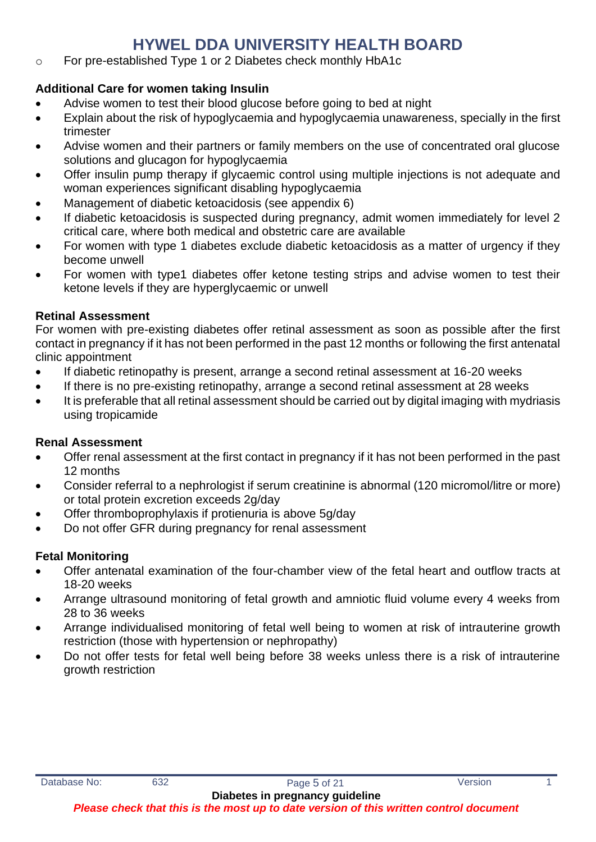o For pre-established Type 1 or 2 Diabetes check monthly HbA1c

### **Additional Care for women taking Insulin**

- Advise women to test their blood glucose before going to bed at night
- Explain about the risk of hypoglycaemia and hypoglycaemia unawareness, specially in the first trimester
- Advise women and their partners or family members on the use of concentrated oral glucose solutions and glucagon for hypoglycaemia
- Offer insulin pump therapy if glycaemic control using multiple injections is not adequate and woman experiences significant disabling hypoglycaemia
- Management of diabetic ketoacidosis (see appendix 6)
- If diabetic ketoacidosis is suspected during pregnancy, admit women immediately for level 2 critical care, where both medical and obstetric care are available
- For women with type 1 diabetes exclude diabetic ketoacidosis as a matter of urgency if they become unwell
- For women with type1 diabetes offer ketone testing strips and advise women to test their ketone levels if they are hyperglycaemic or unwell

### **Retinal Assessment**

For women with pre-existing diabetes offer retinal assessment as soon as possible after the first contact in pregnancy if it has not been performed in the past 12 months or following the first antenatal clinic appointment

- If diabetic retinopathy is present, arrange a second retinal assessment at 16-20 weeks
- If there is no pre-existing retinopathy, arrange a second retinal assessment at 28 weeks
- It is preferable that all retinal assessment should be carried out by digital imaging with mydriasis using tropicamide

### **Renal Assessment**

- Offer renal assessment at the first contact in pregnancy if it has not been performed in the past 12 months
- Consider referral to a nephrologist if serum creatinine is abnormal (120 micromol/litre or more) or total protein excretion exceeds 2g/day
- Offer thromboprophylaxis if protienuria is above 5g/day
- Do not offer GFR during pregnancy for renal assessment

### **Fetal Monitoring**

- Offer antenatal examination of the four-chamber view of the fetal heart and outflow tracts at 18-20 weeks
- Arrange ultrasound monitoring of fetal growth and amniotic fluid volume every 4 weeks from 28 to 36 weeks
- Arrange individualised monitoring of fetal well being to women at risk of intrauterine growth restriction (those with hypertension or nephropathy)
- Do not offer tests for fetal well being before 38 weeks unless there is a risk of intrauterine growth restriction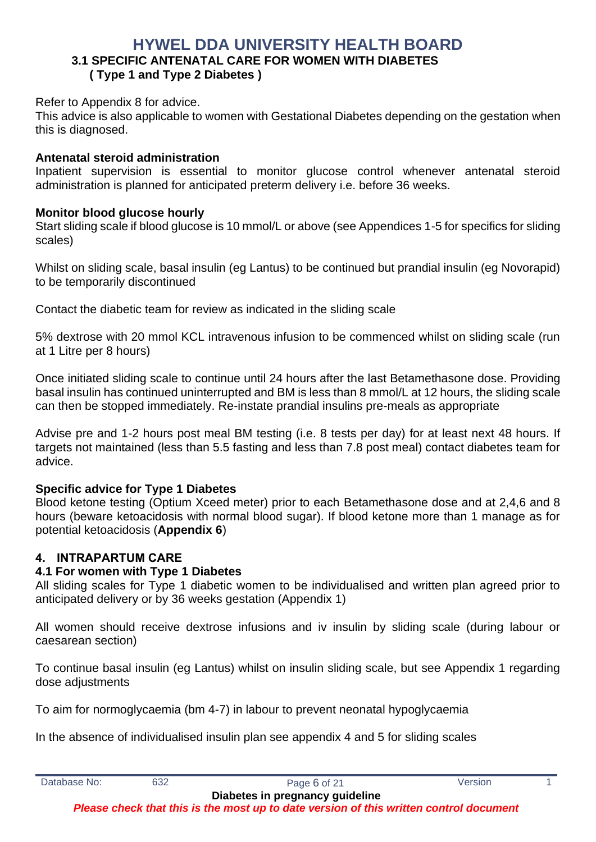### **HYWEL DDA UNIVERSITY HEALTH BOARD 3.1 SPECIFIC ANTENATAL CARE FOR WOMEN WITH DIABETES ( Type 1 and Type 2 Diabetes )**

#### Refer to Appendix 8 for advice.

This advice is also applicable to women with Gestational Diabetes depending on the gestation when this is diagnosed.

### **Antenatal steroid administration**

Inpatient supervision is essential to monitor glucose control whenever antenatal steroid administration is planned for anticipated preterm delivery i.e. before 36 weeks.

#### **Monitor blood glucose hourly**

Start sliding scale if blood glucose is 10 mmol/L or above (see Appendices 1-5 for specifics for sliding scales)

Whilst on sliding scale, basal insulin (eg Lantus) to be continued but prandial insulin (eg Novorapid) to be temporarily discontinued

Contact the diabetic team for review as indicated in the sliding scale

5% dextrose with 20 mmol KCL intravenous infusion to be commenced whilst on sliding scale (run at 1 Litre per 8 hours)

Once initiated sliding scale to continue until 24 hours after the last Betamethasone dose. Providing basal insulin has continued uninterrupted and BM is less than 8 mmol/L at 12 hours, the sliding scale can then be stopped immediately. Re-instate prandial insulins pre-meals as appropriate

Advise pre and 1-2 hours post meal BM testing (i.e. 8 tests per day) for at least next 48 hours. If targets not maintained (less than 5.5 fasting and less than 7.8 post meal) contact diabetes team for advice.

### **Specific advice for Type 1 Diabetes**

Blood ketone testing (Optium Xceed meter) prior to each Betamethasone dose and at 2,4,6 and 8 hours (beware ketoacidosis with normal blood sugar). If blood ketone more than 1 manage as for potential ketoacidosis (**Appendix 6**)

### **4. INTRAPARTUM CARE**

### **4.1 For women with Type 1 Diabetes**

All sliding scales for Type 1 diabetic women to be individualised and written plan agreed prior to anticipated delivery or by 36 weeks gestation (Appendix 1)

All women should receive dextrose infusions and iv insulin by sliding scale (during labour or caesarean section)

To continue basal insulin (eg Lantus) whilst on insulin sliding scale, but see Appendix 1 regarding dose adjustments

To aim for normoglycaemia (bm 4-7) in labour to prevent neonatal hypoglycaemia

In the absence of individualised insulin plan see appendix 4 and 5 for sliding scales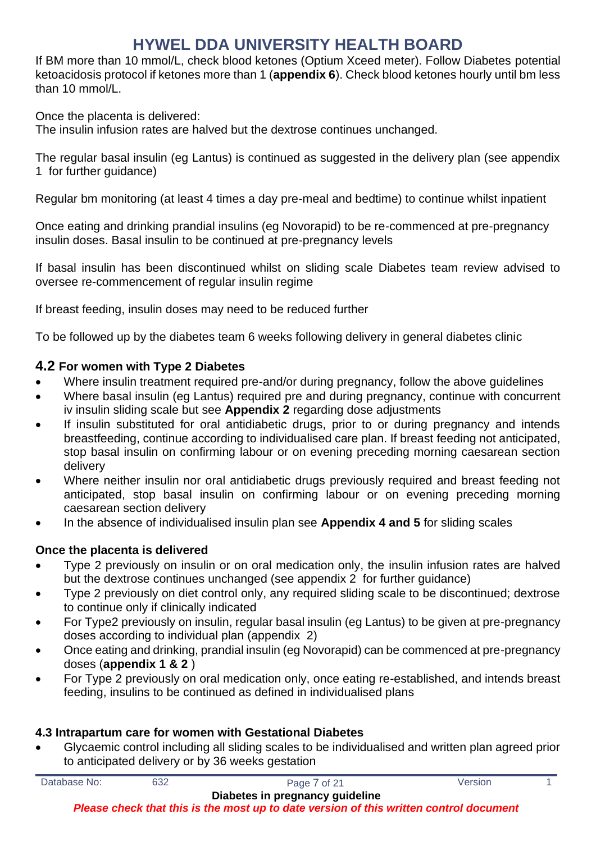If BM more than 10 mmol/L, check blood ketones (Optium Xceed meter). Follow Diabetes potential ketoacidosis protocol if ketones more than 1 (**appendix 6**). Check blood ketones hourly until bm less than 10 mmol/L.

Once the placenta is delivered:

The insulin infusion rates are halved but the dextrose continues unchanged.

The regular basal insulin (eg Lantus) is continued as suggested in the delivery plan (see appendix 1 for further guidance)

Regular bm monitoring (at least 4 times a day pre-meal and bedtime) to continue whilst inpatient

Once eating and drinking prandial insulins (eg Novorapid) to be re-commenced at pre-pregnancy insulin doses. Basal insulin to be continued at pre-pregnancy levels

If basal insulin has been discontinued whilst on sliding scale Diabetes team review advised to oversee re-commencement of regular insulin regime

If breast feeding, insulin doses may need to be reduced further

To be followed up by the diabetes team 6 weeks following delivery in general diabetes clinic

### **4.2 For women with Type 2 Diabetes**

- Where insulin treatment required pre-and/or during pregnancy, follow the above guidelines
- Where basal insulin (eg Lantus) required pre and during pregnancy, continue with concurrent iv insulin sliding scale but see **Appendix 2** regarding dose adjustments
- If insulin substituted for oral antidiabetic drugs, prior to or during pregnancy and intends breastfeeding, continue according to individualised care plan. If breast feeding not anticipated, stop basal insulin on confirming labour or on evening preceding morning caesarean section delivery
- Where neither insulin nor oral antidiabetic drugs previously required and breast feeding not anticipated, stop basal insulin on confirming labour or on evening preceding morning caesarean section delivery
- In the absence of individualised insulin plan see **Appendix 4 and 5** for sliding scales

### **Once the placenta is delivered**

- Type 2 previously on insulin or on oral medication only, the insulin infusion rates are halved but the dextrose continues unchanged (see appendix 2 for further guidance)
- Type 2 previously on diet control only, any required sliding scale to be discontinued; dextrose to continue only if clinically indicated
- For Type2 previously on insulin, regular basal insulin (eg Lantus) to be given at pre-pregnancy doses according to individual plan (appendix 2)
- Once eating and drinking, prandial insulin (eg Novorapid) can be commenced at pre-pregnancy doses (**appendix 1 & 2** )
- For Type 2 previously on oral medication only, once eating re-established, and intends breast feeding, insulins to be continued as defined in individualised plans

### **4.3 Intrapartum care for women with Gestational Diabetes**

• Glycaemic control including all sliding scales to be individualised and written plan agreed prior to anticipated delivery or by 36 weeks gestation

Database No: 632 632 Page 7 of 21 Version 1

**Diabetes in pregnancy guideline**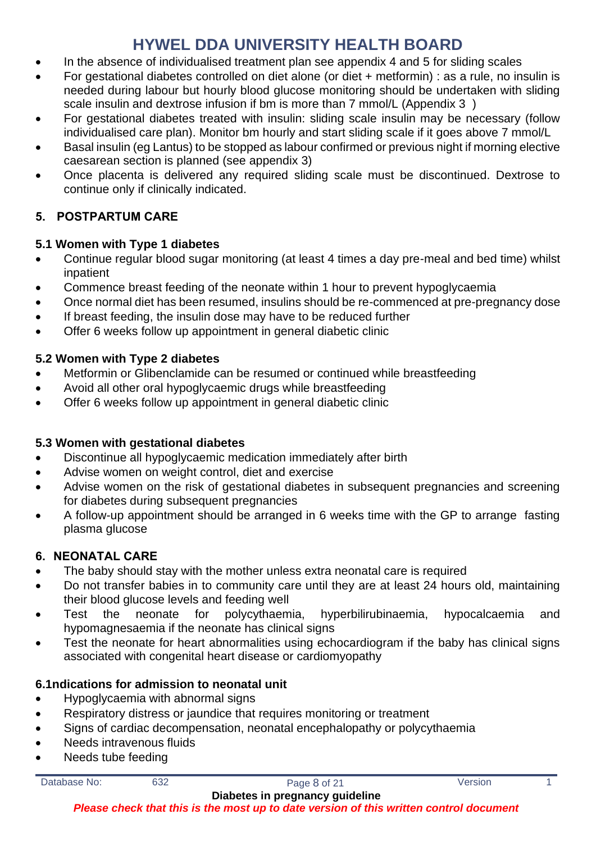- In the absence of individualised treatment plan see appendix 4 and 5 for sliding scales
- For gestational diabetes controlled on diet alone (or diet + metformin) : as a rule, no insulin is needed during labour but hourly blood glucose monitoring should be undertaken with sliding scale insulin and dextrose infusion if bm is more than 7 mmol/L (Appendix 3)
- For gestational diabetes treated with insulin: sliding scale insulin may be necessary (follow individualised care plan). Monitor bm hourly and start sliding scale if it goes above 7 mmol/L
- Basal insulin (eg Lantus) to be stopped as labour confirmed or previous night if morning elective caesarean section is planned (see appendix 3)
- Once placenta is delivered any required sliding scale must be discontinued. Dextrose to continue only if clinically indicated.

# **5. POSTPARTUM CARE**

### **5.1 Women with Type 1 diabetes**

- Continue regular blood sugar monitoring (at least 4 times a day pre-meal and bed time) whilst inpatient
- Commence breast feeding of the neonate within 1 hour to prevent hypoglycaemia
- Once normal diet has been resumed, insulins should be re-commenced at pre-pregnancy dose
- If breast feeding, the insulin dose may have to be reduced further
- Offer 6 weeks follow up appointment in general diabetic clinic

### **5.2 Women with Type 2 diabetes**

- Metformin or Glibenclamide can be resumed or continued while breastfeeding
- Avoid all other oral hypoglycaemic drugs while breastfeeding
- Offer 6 weeks follow up appointment in general diabetic clinic

### **5.3 Women with gestational diabetes**

- Discontinue all hypoglycaemic medication immediately after birth
- Advise women on weight control, diet and exercise
- Advise women on the risk of gestational diabetes in subsequent pregnancies and screening for diabetes during subsequent pregnancies
- A follow-up appointment should be arranged in 6 weeks time with the GP to arrange fasting plasma glucose

# **6. NEONATAL CARE**

- The baby should stay with the mother unless extra neonatal care is required
- Do not transfer babies in to community care until they are at least 24 hours old, maintaining their blood glucose levels and feeding well
- Test the neonate for polycythaemia, hyperbilirubinaemia, hypocalcaemia and hypomagnesaemia if the neonate has clinical signs
- Test the neonate for heart abnormalities using echocardiogram if the baby has clinical signs associated with congenital heart disease or cardiomyopathy

### **6.1ndications for admission to neonatal unit**

- Hypoglycaemia with abnormal signs
- Respiratory distress or jaundice that requires monitoring or treatment
- Signs of cardiac decompensation, neonatal encephalopathy or polycythaemia
- Needs intravenous fluids
- Needs tube feeding

| Database No: |  |
|--------------|--|
|              |  |
|              |  |
|              |  |

632 Page 8 of 21 Version 1 **Diabetes in pregnancy guideline**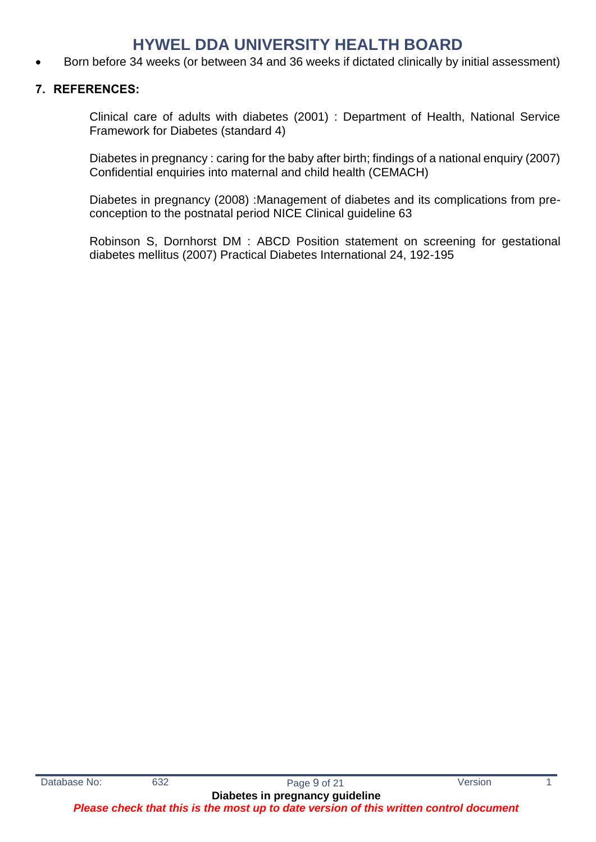• Born before 34 weeks (or between 34 and 36 weeks if dictated clinically by initial assessment)

### **7. REFERENCES:**

Clinical care of adults with diabetes (2001) : Department of Health, National Service Framework for Diabetes (standard 4)

Diabetes in pregnancy : caring for the baby after birth; findings of a national enquiry (2007) Confidential enquiries into maternal and child health (CEMACH)

Diabetes in pregnancy (2008) :Management of diabetes and its complications from preconception to the postnatal period NICE Clinical guideline 63

Robinson S, Dornhorst DM : ABCD Position statement on screening for gestational diabetes mellitus (2007) Practical Diabetes International 24, 192-195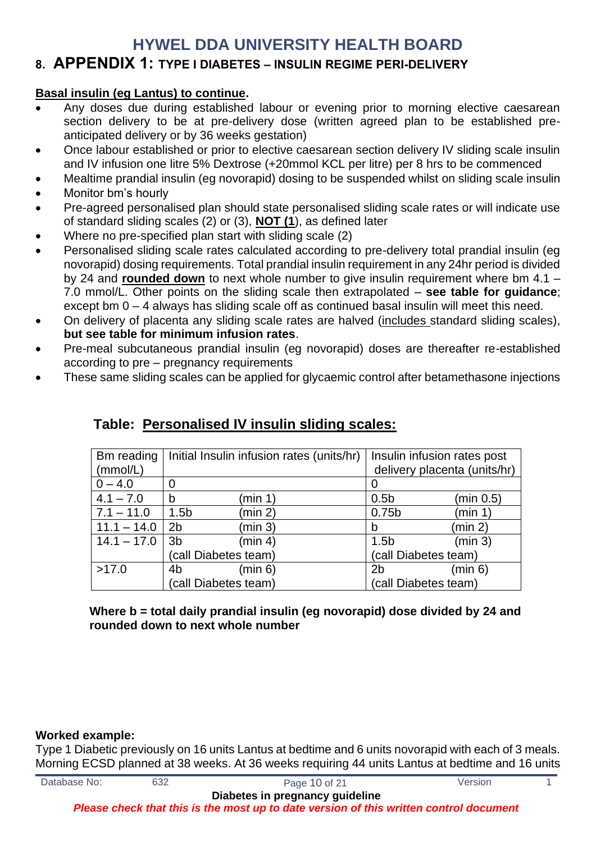### **8. APPENDIX 1: TYPE I DIABETES – INSULIN REGIME PERI-DELIVERY**

### **Basal insulin (eg Lantus) to continue.**

- Any doses due during established labour or evening prior to morning elective caesarean section delivery to be at pre-delivery dose (written agreed plan to be established preanticipated delivery or by 36 weeks gestation)
- Once labour established or prior to elective caesarean section delivery IV sliding scale insulin and IV infusion one litre 5% Dextrose (+20mmol KCL per litre) per 8 hrs to be commenced
- Mealtime prandial insulin (eg novorapid) dosing to be suspended whilst on sliding scale insulin
- Monitor bm's hourly
- Pre-agreed personalised plan should state personalised sliding scale rates or will indicate use of standard sliding scales (2) or (3), **NOT (1**), as defined later
- Where no pre-specified plan start with sliding scale (2)
- Personalised sliding scale rates calculated according to pre-delivery total prandial insulin (eg novorapid) dosing requirements. Total prandial insulin requirement in any 24hr period is divided by 24 and **rounded down** to next whole number to give insulin requirement where bm 4.1 – 7.0 mmol/L. Other points on the sliding scale then extrapolated – **see table for guidance**; except bm 0 – 4 always has sliding scale off as continued basal insulin will meet this need.
- On delivery of placenta any sliding scale rates are halved (includes standard sliding scales), **but see table for minimum infusion rates**.
- Pre-meal subcutaneous prandial insulin (eg novorapid) doses are thereafter re-established according to pre – pregnancy requirements
- These same sliding scales can be applied for glycaemic control after betamethasone injections

| Bm reading    | Initial Insulin infusion rates (units/hr) |                  | Insulin infusion rates post  |
|---------------|-------------------------------------------|------------------|------------------------------|
| (mmol/L)      |                                           |                  | delivery placenta (units/hr) |
| $0 - 4.0$     |                                           |                  |                              |
| $4.1 - 7.0$   | (min 1)<br>b                              | 0.5 <sub>b</sub> | (min 0.5)                    |
| $7.1 - 11.0$  | (min 2)<br>1.5 <sub>b</sub>               | 0.75b            | (min 1)                      |
| $11.1 - 14.0$ | (min 3)<br>2 <sub>b</sub>                 | b                | (min 2)                      |
| $14.1 - 17.0$ | 3 <sub>b</sub><br>(min 4)                 | 1.5 <sub>b</sub> | (min 3)                      |
|               | (call Diabetes team)                      |                  | (call Diabetes team)         |
| >17.0         | 4 <sub>b</sub><br>(min 6)                 | 2b               | (min 6)                      |
|               | (call Diabetes team)                      |                  | (call Diabetes team)         |

# **Table: Personalised IV insulin sliding scales:**

**Where b = total daily prandial insulin (eg novorapid) dose divided by 24 and rounded down to next whole number**

#### **Worked example:**

Type 1 Diabetic previously on 16 units Lantus at bedtime and 6 units novorapid with each of 3 meals. Morning ECSD planned at 38 weeks. At 36 weeks requiring 44 units Lantus at bedtime and 16 units

| Database No: | 632 | Page 10 of 21                                                                          | Version |  |
|--------------|-----|----------------------------------------------------------------------------------------|---------|--|
|              |     | Diabetes in pregnancy guideline                                                        |         |  |
|              |     | Please check that this is the most up to date version of this written control document |         |  |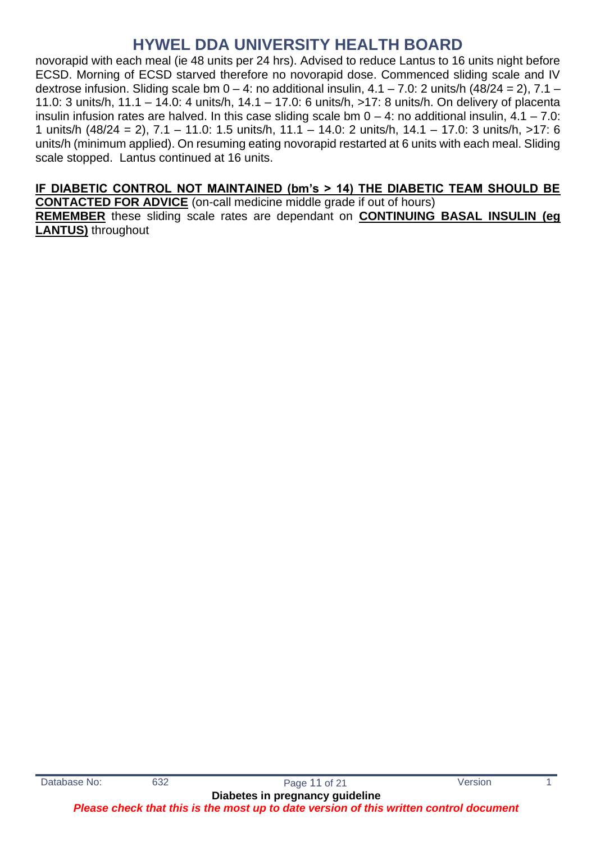novorapid with each meal (ie 48 units per 24 hrs). Advised to reduce Lantus to 16 units night before ECSD. Morning of ECSD starved therefore no novorapid dose. Commenced sliding scale and IV dextrose infusion. Sliding scale bm  $0 - 4$ : no additional insulin,  $4.1 - 7.0$ : 2 units/h (48/24 = 2),  $7.1 -$ 11.0: 3 units/h, 11.1 – 14.0: 4 units/h, 14.1 – 17.0: 6 units/h, >17: 8 units/h. On delivery of placenta insulin infusion rates are halved. In this case sliding scale bm  $0 - 4$ : no additional insulin,  $4.1 - 7.0$ : 1 units/h (48/24 = 2), 7.1 – 11.0: 1.5 units/h, 11.1 – 14.0: 2 units/h, 14.1 – 17.0: 3 units/h, >17: 6 units/h (minimum applied). On resuming eating novorapid restarted at 6 units with each meal. Sliding scale stopped. Lantus continued at 16 units.

### **IF DIABETIC CONTROL NOT MAINTAINED (bm's > 14) THE DIABETIC TEAM SHOULD BE**

**CONTACTED FOR ADVICE** (on-call medicine middle grade if out of hours) **REMEMBER** these sliding scale rates are dependant on **CONTINUING BASAL INSULIN (eg LANTUS)** throughout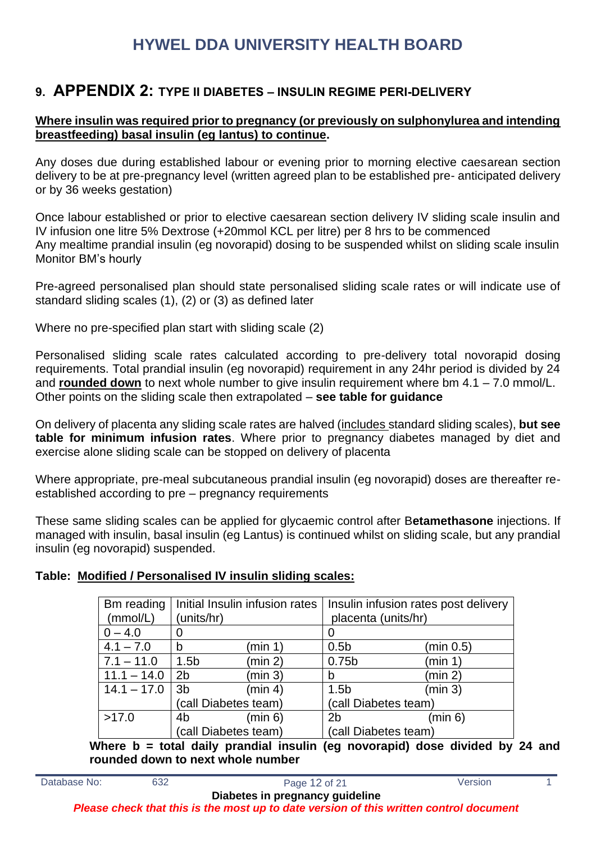# **9. APPENDIX 2: TYPE II DIABETES – INSULIN REGIME PERI-DELIVERY**

### **Where insulin was required prior to pregnancy (or previously on sulphonylurea and intending breastfeeding) basal insulin (eg lantus) to continue.**

Any doses due during established labour or evening prior to morning elective caesarean section delivery to be at pre-pregnancy level (written agreed plan to be established pre- anticipated delivery or by 36 weeks gestation)

Once labour established or prior to elective caesarean section delivery IV sliding scale insulin and IV infusion one litre 5% Dextrose (+20mmol KCL per litre) per 8 hrs to be commenced Any mealtime prandial insulin (eg novorapid) dosing to be suspended whilst on sliding scale insulin Monitor BM's hourly

Pre-agreed personalised plan should state personalised sliding scale rates or will indicate use of standard sliding scales (1), (2) or (3) as defined later

Where no pre-specified plan start with sliding scale (2)

Personalised sliding scale rates calculated according to pre-delivery total novorapid dosing requirements. Total prandial insulin (eg novorapid) requirement in any 24hr period is divided by 24 and **rounded down** to next whole number to give insulin requirement where bm 4.1 – 7.0 mmol/L. Other points on the sliding scale then extrapolated – **see table for guidance**

On delivery of placenta any sliding scale rates are halved (includes standard sliding scales), **but see table for minimum infusion rates**. Where prior to pregnancy diabetes managed by diet and exercise alone sliding scale can be stopped on delivery of placenta

Where appropriate, pre-meal subcutaneous prandial insulin (eg novorapid) doses are thereafter reestablished according to pre – pregnancy requirements

These same sliding scales can be applied for glycaemic control after B**etamethasone** injections. If managed with insulin, basal insulin (eg Lantus) is continued whilst on sliding scale, but any prandial insulin (eg novorapid) suspended.

### **Table: Modified / Personalised IV insulin sliding scales:**

| Bm reading    | Initial Insulin infusion rates |         | Insulin infusion rates post delivery |           |
|---------------|--------------------------------|---------|--------------------------------------|-----------|
| (mmol/L)      | (units/hr)                     |         | placenta (units/hr)                  |           |
| $0 - 4.0$     |                                |         | O                                    |           |
| $4.1 - 7.0$   | b                              | (min 1) | 0.5 <sub>b</sub>                     | (min 0.5) |
| $7.1 - 11.0$  | 1.5 <sub>b</sub>               | (min 2) | 0.75b                                | (min 1)   |
| $11.1 - 14.0$ | 2 <sub>b</sub>                 | (min 3) | b                                    | (min 2)   |
| $14.1 - 17.0$ | 3 <sub>b</sub>                 | (min 4) | 1.5 <sub>b</sub>                     | (min 3)   |
|               | (call Diabetes team)           |         | (call Diabetes team)                 |           |
| >17.0         | 4 <sub>b</sub>                 | (min 6) | 2 <sub>b</sub>                       | (min 6)   |
|               | (call Diabetes team)           |         | (call Diabetes team)                 |           |

**Where b = total daily prandial insulin (eg novorapid) dose divided by 24 and rounded down to next whole number**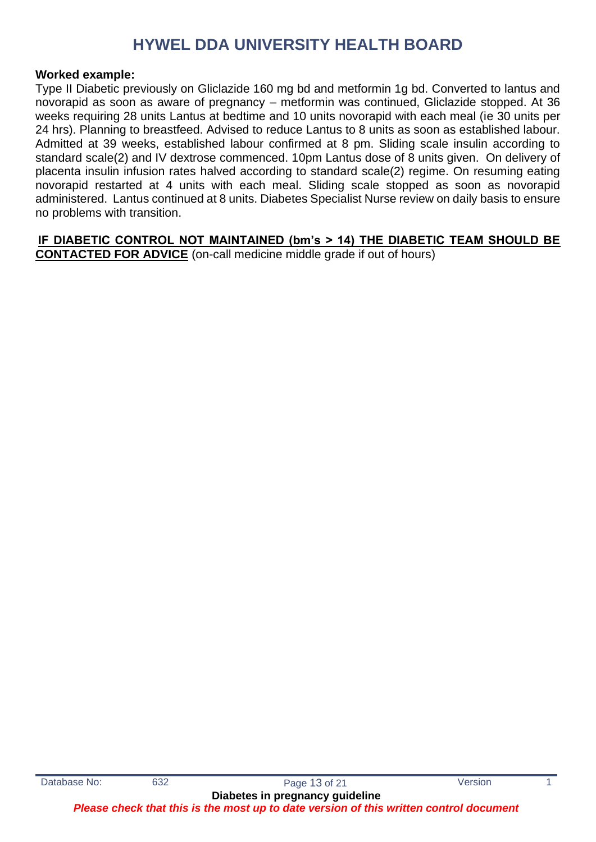#### **Worked example:**

Type II Diabetic previously on Gliclazide 160 mg bd and metformin 1g bd. Converted to lantus and novorapid as soon as aware of pregnancy – metformin was continued, Gliclazide stopped. At 36 weeks requiring 28 units Lantus at bedtime and 10 units novorapid with each meal (ie 30 units per 24 hrs). Planning to breastfeed. Advised to reduce Lantus to 8 units as soon as established labour. Admitted at 39 weeks, established labour confirmed at 8 pm. Sliding scale insulin according to standard scale(2) and IV dextrose commenced. 10pm Lantus dose of 8 units given. On delivery of placenta insulin infusion rates halved according to standard scale(2) regime. On resuming eating novorapid restarted at 4 units with each meal. Sliding scale stopped as soon as novorapid administered. Lantus continued at 8 units. Diabetes Specialist Nurse review on daily basis to ensure no problems with transition.

**IF DIABETIC CONTROL NOT MAINTAINED (bm's > 14) THE DIABETIC TEAM SHOULD BE CONTACTED FOR ADVICE** (on-call medicine middle grade if out of hours)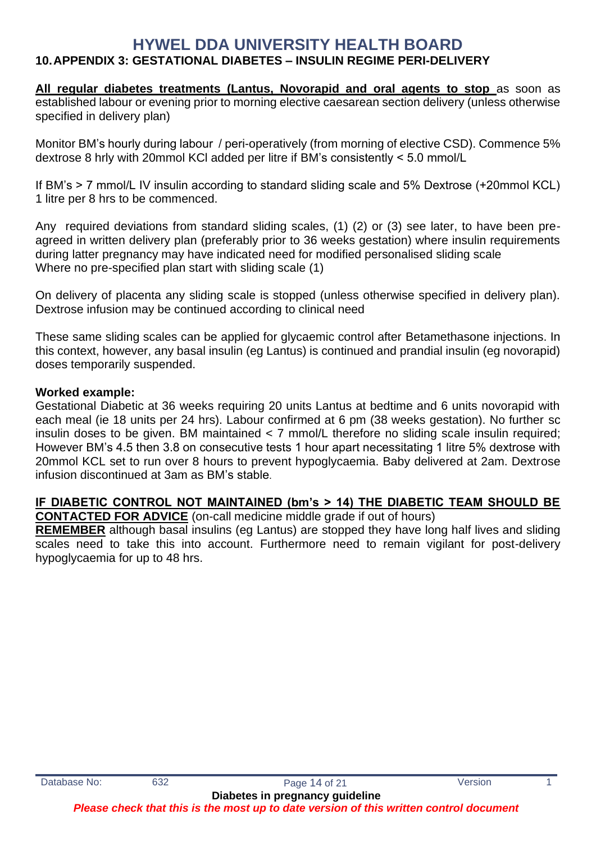### **10.APPENDIX 3: GESTATIONAL DIABETES – INSULIN REGIME PERI-DELIVERY**

All regular diabetes treatments (Lantus, Novorapid and oral agents to stop as soon as established labour or evening prior to morning elective caesarean section delivery (unless otherwise specified in delivery plan)

Monitor BM's hourly during labour / peri-operatively (from morning of elective CSD). Commence 5% dextrose 8 hrly with 20mmol KCl added per litre if BM's consistently < 5.0 mmol/L

If BM's > 7 mmol/L IV insulin according to standard sliding scale and 5% Dextrose (+20mmol KCL) 1 litre per 8 hrs to be commenced.

Any required deviations from standard sliding scales, (1) (2) or (3) see later, to have been preagreed in written delivery plan (preferably prior to 36 weeks gestation) where insulin requirements during latter pregnancy may have indicated need for modified personalised sliding scale Where no pre-specified plan start with sliding scale (1)

On delivery of placenta any sliding scale is stopped (unless otherwise specified in delivery plan). Dextrose infusion may be continued according to clinical need

These same sliding scales can be applied for glycaemic control after Betamethasone injections. In this context, however, any basal insulin (eg Lantus) is continued and prandial insulin (eg novorapid) doses temporarily suspended.

#### **Worked example:**

Gestational Diabetic at 36 weeks requiring 20 units Lantus at bedtime and 6 units novorapid with each meal (ie 18 units per 24 hrs). Labour confirmed at 6 pm (38 weeks gestation). No further sc insulin doses to be given. BM maintained < 7 mmol/L therefore no sliding scale insulin required; However BM's 4.5 then 3.8 on consecutive tests 1 hour apart necessitating 1 litre 5% dextrose with 20mmol KCL set to run over 8 hours to prevent hypoglycaemia. Baby delivered at 2am. Dextrose infusion discontinued at 3am as BM's stable.

### **IF DIABETIC CONTROL NOT MAINTAINED (bm's > 14) THE DIABETIC TEAM SHOULD BE**

**CONTACTED FOR ADVICE** (on-call medicine middle grade if out of hours)

**REMEMBER** although basal insulins (eg Lantus) are stopped they have long half lives and sliding scales need to take this into account. Furthermore need to remain vigilant for post-delivery hypoglycaemia for up to 48 hrs.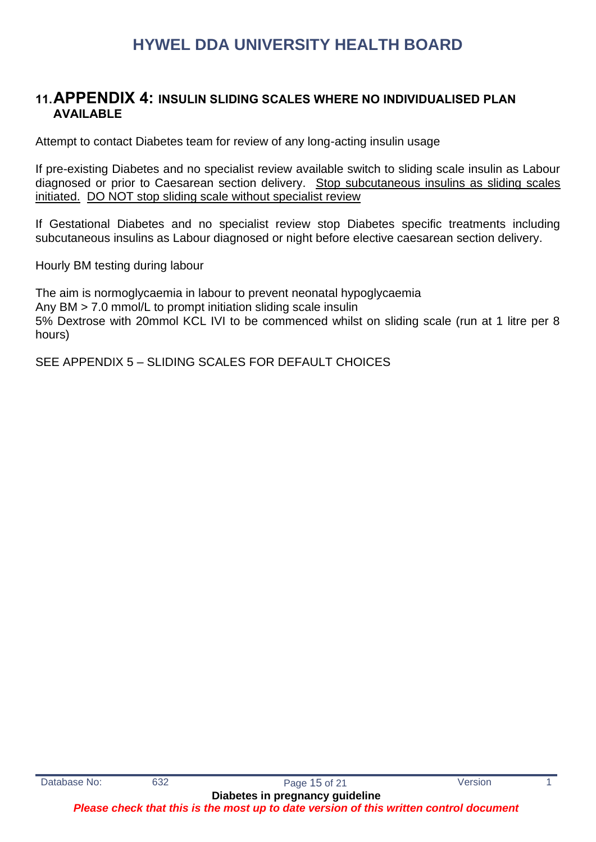### **11.APPENDIX 4: INSULIN SLIDING SCALES WHERE NO INDIVIDUALISED PLAN AVAILABLE**

Attempt to contact Diabetes team for review of any long-acting insulin usage

If pre-existing Diabetes and no specialist review available switch to sliding scale insulin as Labour diagnosed or prior to Caesarean section delivery. Stop subcutaneous insulins as sliding scales initiated. DO NOT stop sliding scale without specialist review

If Gestational Diabetes and no specialist review stop Diabetes specific treatments including subcutaneous insulins as Labour diagnosed or night before elective caesarean section delivery.

Hourly BM testing during labour

The aim is normoglycaemia in labour to prevent neonatal hypoglycaemia Any BM > 7.0 mmol/L to prompt initiation sliding scale insulin 5% Dextrose with 20mmol KCL IVI to be commenced whilst on sliding scale (run at 1 litre per 8 hours)

SEE APPENDIX 5 – SLIDING SCALES FOR DEFAULT CHOICES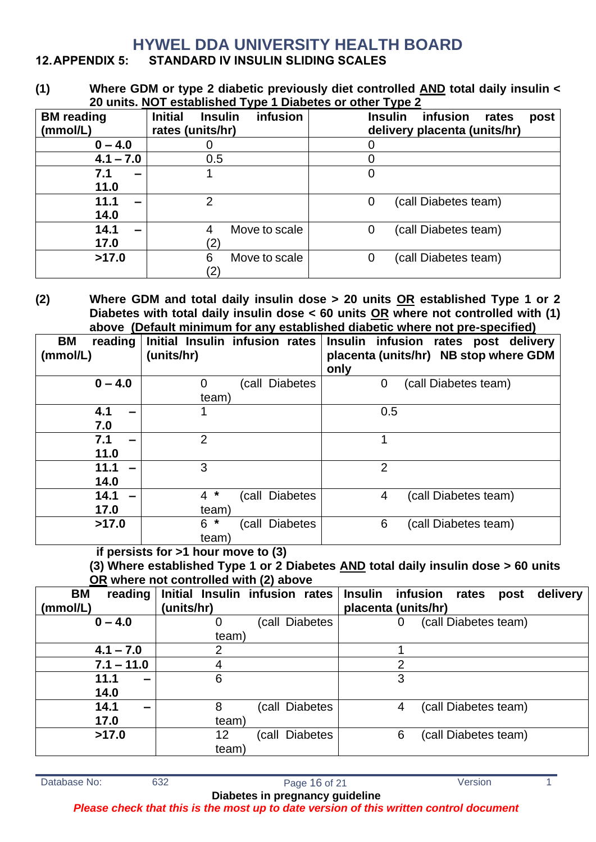### **12.APPENDIX 5: STANDARD IV INSULIN SLIDING SCALES**

**(1) Where GDM or type 2 diabetic previously diet controlled AND total daily insulin < 20 units. NOT established Type 1 Diabetes or other Type 2** 

| <b>BM</b> reading | $\sim$ 0.1110. The requirement of the representation $\sim$<br><b>Initial</b><br>infusion<br><b>Insulin</b> | <b>Insulin</b><br>infusion<br>rates<br>post |
|-------------------|-------------------------------------------------------------------------------------------------------------|---------------------------------------------|
| (mmol/L)          | rates (units/hr)                                                                                            | delivery placenta (units/hr)                |
| $0 - 4.0$         |                                                                                                             |                                             |
| $4.1 - 7.0$       | 0.5                                                                                                         | O                                           |
| 7.1<br>-          |                                                                                                             | 0                                           |
| 11.0              |                                                                                                             |                                             |
| 11.1<br>-         | 2                                                                                                           | (call Diabetes team)<br>0                   |
| 14.0              |                                                                                                             |                                             |
| 14.1<br>-         | Move to scale<br>4                                                                                          | (call Diabetes team)<br>0                   |
| 17.0              |                                                                                                             |                                             |
| >17.0             | 6<br>Move to scale                                                                                          | (call Diabetes team)<br>0                   |
|                   |                                                                                                             |                                             |

**(2) Where GDM and total daily insulin dose > 20 units OR established Type 1 or 2 Diabetes with total daily insulin dose < 60 units OR where not controlled with (1) above (Default minimum for any established diabetic where not pre-specified)**

| <b>BM</b><br>reading<br>(mmol/L) | Initial Insulin infusion rates<br>(units/hr) |                | only           | Insulin infusion rates post delivery<br>placenta (units/hr) NB stop where GDM |
|----------------------------------|----------------------------------------------|----------------|----------------|-------------------------------------------------------------------------------|
| $0 - 4.0$                        | $\overline{0}$                               | (call Diabetes | 0              | (call Diabetes team)                                                          |
|                                  | team)                                        |                |                |                                                                               |
| 4.1                              | 1                                            |                | 0.5            |                                                                               |
| 7.0                              |                                              |                |                |                                                                               |
| 7.1                              | $\overline{2}$                               |                | 1              |                                                                               |
| 11.0                             |                                              |                |                |                                                                               |
| 11.1                             | 3                                            |                | $\overline{2}$ |                                                                               |
| 14.0                             |                                              |                |                |                                                                               |
| 14.1                             | $4 *$                                        | (call Diabetes | 4              | (call Diabetes team)                                                          |
| 17.0                             | team)                                        |                |                |                                                                               |
| >17.0                            | $6*$                                         | (call Diabetes | 6              | (call Diabetes team)                                                          |
|                                  | team)                                        |                |                |                                                                               |

**if persists for >1 hour move to (3)**

**(3) Where established Type 1 or 2 Diabetes AND total daily insulin dose > 60 units OR where not controlled with (2) above**

| <b>BM</b><br>(mmol/L) | reading      | (units/hr) | Initial Insulin infusion rates | <b>Insulin</b><br>placenta (units/hr) | infusion<br>rates    | delivery<br>post |
|-----------------------|--------------|------------|--------------------------------|---------------------------------------|----------------------|------------------|
|                       | $0 - 4.0$    | O          | (call Diabetes                 | O                                     | (call Diabetes team) |                  |
|                       |              | team)      |                                |                                       |                      |                  |
|                       | $4.1 - 7.0$  |            |                                |                                       |                      |                  |
|                       | $7.1 - 11.0$ | 4          |                                | 2                                     |                      |                  |
|                       | 11.1<br>-    | 6          |                                | 3                                     |                      |                  |
|                       | 14.0         |            |                                |                                       |                      |                  |
|                       | 14.1         | 8          | (call Diabetes                 | 4                                     | (call Diabetes team) |                  |
|                       | 17.0         | team)      |                                |                                       |                      |                  |
|                       | >17.0        | 12         | (call Diabetes                 | 6                                     | (call Diabetes team) |                  |
|                       |              | team)      |                                |                                       |                      |                  |

Database No: 632 632 Page 16 of 21 Version 1 **Diabetes in pregnancy guideline**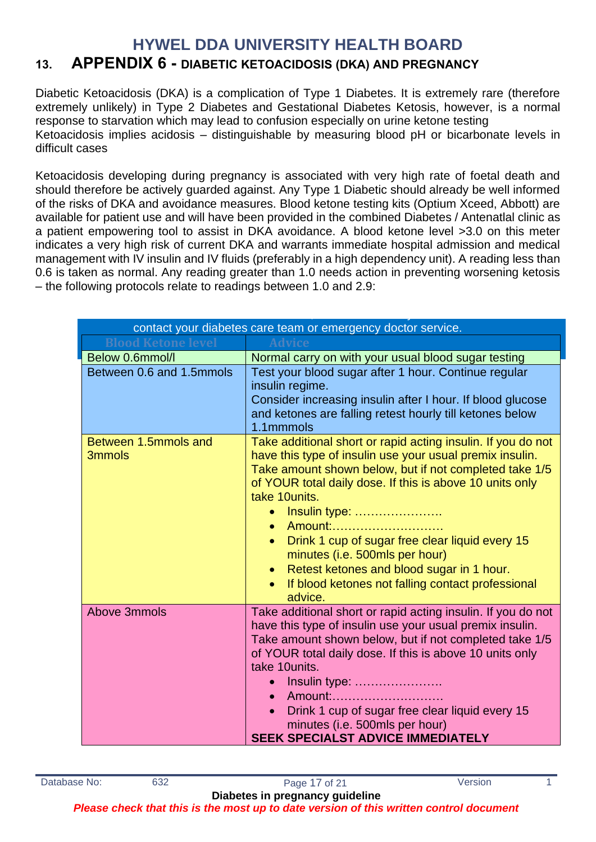# **13. APPENDIX 6 - DIABETIC KETOACIDOSIS (DKA) AND PREGNANCY**

Diabetic Ketoacidosis (DKA) is a complication of Type 1 Diabetes. It is extremely rare (therefore extremely unlikely) in Type 2 Diabetes and Gestational Diabetes Ketosis, however, is a normal response to starvation which may lead to confusion especially on urine ketone testing Ketoacidosis implies acidosis – distinguishable by measuring blood pH or bicarbonate levels in difficult cases

Ketoacidosis developing during pregnancy is associated with very high rate of foetal death and should therefore be actively guarded against. Any Type 1 Diabetic should already be well informed of the risks of DKA and avoidance measures. Blood ketone testing kits (Optium Xceed, Abbott) are available for patient use and will have been provided in the combined Diabetes / Antenatlal clinic as a patient empowering tool to assist in DKA avoidance. A blood ketone level >3.0 on this meter indicates a very high risk of current DKA and warrants immediate hospital admission and medical management with IV insulin and IV fluids (preferably in a high dependency unit). A reading less than 0.6 is taken as normal. Any reading greater than 1.0 needs action in preventing worsening ketosis – the following protocols relate to readings between 1.0 and 2.9:

| contact your diabetes care team or emergency doctor service. |                                                                                                                                                                                                                                                                                                                                                                                                                                                                                                                         |  |  |  |  |  |  |  |
|--------------------------------------------------------------|-------------------------------------------------------------------------------------------------------------------------------------------------------------------------------------------------------------------------------------------------------------------------------------------------------------------------------------------------------------------------------------------------------------------------------------------------------------------------------------------------------------------------|--|--|--|--|--|--|--|
| <b>Blood Ketone level</b>                                    |                                                                                                                                                                                                                                                                                                                                                                                                                                                                                                                         |  |  |  |  |  |  |  |
| Below 0.6mmol/l                                              | Normal carry on with your usual blood sugar testing                                                                                                                                                                                                                                                                                                                                                                                                                                                                     |  |  |  |  |  |  |  |
| Between 0.6 and 1.5mmols                                     | Test your blood sugar after 1 hour. Continue regular<br>insulin regime.<br>Consider increasing insulin after I hour. If blood glucose<br>and ketones are falling retest hourly till ketones below<br>1.1mmmols                                                                                                                                                                                                                                                                                                          |  |  |  |  |  |  |  |
| Between 1.5mmols and<br>3mmols                               | Take additional short or rapid acting insulin. If you do not<br>have this type of insulin use your usual premix insulin.<br>Take amount shown below, but if not completed take 1/5<br>of YOUR total daily dose. If this is above 10 units only<br>take 10units.<br>Insulin type:<br>Amount:<br>Drink 1 cup of sugar free clear liquid every 15<br>$\bullet$<br>minutes (i.e. 500mls per hour)<br>Retest ketones and blood sugar in 1 hour.<br>$\bullet$<br>If blood ketones not falling contact professional<br>advice. |  |  |  |  |  |  |  |
| Above 3mmols                                                 | Take additional short or rapid acting insulin. If you do not<br>have this type of insulin use your usual premix insulin.<br>Take amount shown below, but if not completed take 1/5<br>of YOUR total daily dose. If this is above 10 units only<br>take 10units.<br>Insulin type:<br>Amount:<br>$\bullet$<br>Drink 1 cup of sugar free clear liquid every 15<br>minutes (i.e. 500mls per hour)<br><b>SEEK SPECIALST ADVICE IMMEDIATELY</b>                                                                               |  |  |  |  |  |  |  |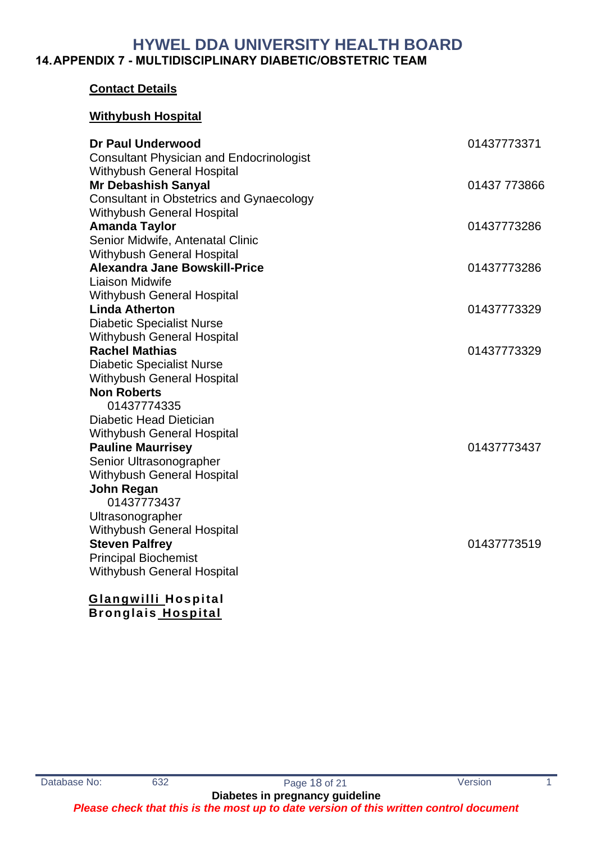### **HYWEL DDA UNIVERSITY HEALTH BOARD 14.APPENDIX 7 - MULTIDISCIPLINARY DIABETIC/OBSTETRIC TEAM**

### **Contact Details**

### **Withybush Hospital**

| <b>Dr Paul Underwood</b>                                        | 01437773371  |
|-----------------------------------------------------------------|--------------|
| <b>Consultant Physician and Endocrinologist</b>                 |              |
| <b>Withybush General Hospital</b><br><b>Mr Debashish Sanyal</b> | 01437 773866 |
| <b>Consultant in Obstetrics and Gynaecology</b>                 |              |
| <b>Withybush General Hospital</b>                               |              |
| <b>Amanda Taylor</b>                                            | 01437773286  |
| Senior Midwife, Antenatal Clinic                                |              |
| <b>Withybush General Hospital</b>                               |              |
| <b>Alexandra Jane Bowskill-Price</b>                            | 01437773286  |
| Liaison Midwife                                                 |              |
| <b>Withybush General Hospital</b>                               |              |
| <b>Linda Atherton</b>                                           | 01437773329  |
| <b>Diabetic Specialist Nurse</b>                                |              |
| <b>Withybush General Hospital</b>                               |              |
| <b>Rachel Mathias</b>                                           | 01437773329  |
| <b>Diabetic Specialist Nurse</b>                                |              |
| Withybush General Hospital                                      |              |
| <b>Non Roberts</b>                                              |              |
| 01437774335                                                     |              |
| Diabetic Head Dietician                                         |              |
| <b>Withybush General Hospital</b>                               |              |
| <b>Pauline Maurrisey</b>                                        | 01437773437  |
| Senior Ultrasonographer                                         |              |
| Withybush General Hospital                                      |              |
| <b>John Regan</b>                                               |              |
| 01437773437                                                     |              |
| Ultrasonographer                                                |              |
| <b>Withybush General Hospital</b>                               |              |
| <b>Steven Palfrey</b>                                           | 01437773519  |
| <b>Principal Biochemist</b>                                     |              |
| <b>Withybush General Hospital</b>                               |              |
| <b>Glangwilli Hospital</b>                                      |              |
|                                                                 |              |

 **Bronglais Hospital**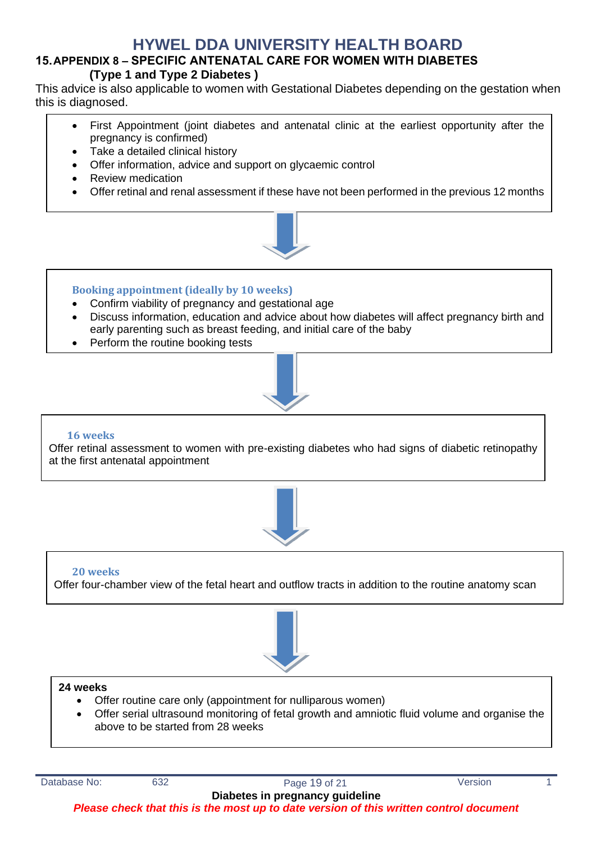### **15.APPENDIX 8 – SPECIFIC ANTENATAL CARE FOR WOMEN WITH DIABETES (Type 1 and Type 2 Diabetes )**

This advice is also applicable to women with Gestational Diabetes depending on the gestation when this is diagnosed.

- First Appointment (joint diabetes and antenatal clinic at the earliest opportunity after the pregnancy is confirmed)
- Take a detailed clinical history
- Offer information, advice and support on glycaemic control
- Review medication
- Offer retinal and renal assessment if these have not been performed in the previous 12 months



### **Booking appointment (ideally by 10 weeks)**

- Confirm viability of pregnancy and gestational age
- Discuss information, education and advice about how diabetes will affect pregnancy birth and early parenting such as breast feeding, and initial care of the baby
- Perform the routine booking tests



#### **16 weeks**

Offer retinal assessment to women with pre-existing diabetes who had signs of diabetic retinopathy at the first antenatal appointment



### **20 weeks** Offer four-chamber view of the fetal heart and outflow tracts in addition to the routine anatomy scan



### **24 weeks**

- Offer routine care only (appointment for nulliparous women)
- Offer serial ultrasound monitoring of fetal growth and amniotic fluid volume and organise the above to be started from 28 weeks

Database No: 632 632 Page 19 of 21 Version 1

**Diabetes in pregnancy guideline** *Please check that this is the most up to date version of this written control document*